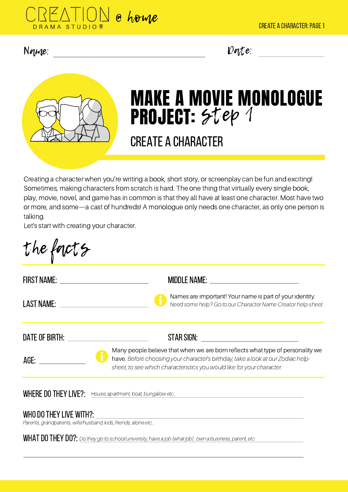

#### Name: Uate:



# MAKE A MOVIE MONOLOGUE PROJECT: STep 1

## CREATE A CHARACTER

Creating a character when you're writing a book, short story, or screenplay can be fun and exciting! Sometimes, making characters from scratch is hard. The one thing that virtually every single book, play, movie, novel, and game has in common is that they all have at least one character. Most have two or more, and some—a cast of hundreds! A monologue only needs one character, as only one person is talking.

Let's start with creating your character.

| FIRST NAME: The contract of the contract of the contract of the contract of the contract of the contract of the                                                                                                               | MIDDLE NAME: www.astronometer.com                                                                                                                                                                                                            |
|-------------------------------------------------------------------------------------------------------------------------------------------------------------------------------------------------------------------------------|----------------------------------------------------------------------------------------------------------------------------------------------------------------------------------------------------------------------------------------------|
|                                                                                                                                                                                                                               | Names are important! Your name is part of your identity.<br>Need some help? Go to our Character Name Creator help-sheet                                                                                                                      |
| DATE OF BIRTH: University of the Second Second Second Second Second Second Second Second Second Second Second Second Second Second Second Second Second Second Second Second Second Second Second Second Second Second Second |                                                                                                                                                                                                                                              |
| AGE: ______                                                                                                                                                                                                                   | Many people believe that when we are born reflects what type of personality we<br>have. Before choosing your character's birthday, take a look at our Zodiac help-<br>sheet, to see which characteristics you would like for your character. |

Parents, grandparents, wife/husband, kids, friends, alone etc...

WHAT DO THEY DO?: Do they go to school/university, have a job (what job), .own a business, parent, etc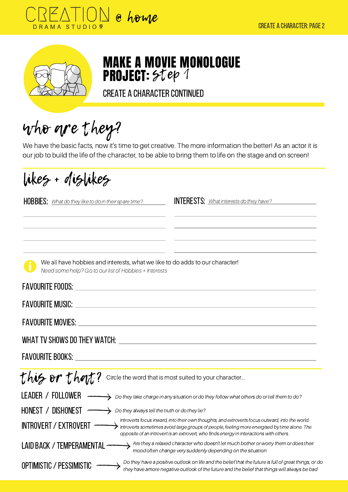



## MAKE A MOVIE MONOLOGUE **PROJECT:** STep 1

CREATE A CHARACTER CONTINUED

who are they?

We have the basic facts, now it's time to get creative. The more information the better! As an actor it is our job to build the life of the character, to be able to bring them to life on the stage and on screen!

likes + dislikes

**HOBBIES:** What do they like to do in their spare time?

**INTERESTS:** What interests do they have?

| We all have hobbies and interests, what we like to do adds to our character! |
|------------------------------------------------------------------------------|
| Need some help? Go to our list of Hobbies + Interests                        |

| <b>FAVOURITE FOODS:</b>                                                                                                                                                                                                                                                                                                    |
|----------------------------------------------------------------------------------------------------------------------------------------------------------------------------------------------------------------------------------------------------------------------------------------------------------------------------|
| <b>FAVOURITE MUSIC:</b>                                                                                                                                                                                                                                                                                                    |
| <b>FAVOURITE MOVIES:</b>                                                                                                                                                                                                                                                                                                   |
| WHAT TV SHOWS DO THEY WATCH: WATCH SHOWS AND THE SHOWS ON THE SHOWS AND THE SHOWS AND THE SHOWS AND THE SHOWS AND THE SHOWS AND THE SHOWS AND THE SHOWS AND THE SHOWS AND THE SHOWS AND THE SHOWS AND THE SHOWS AND THE SHOWS                                                                                              |
| FAVOURITE BOOKS: The contract of the contract of the contract of the contract of the contract of the contract of the contract of the contract of the contract of the contract of the contract of the contract of the contract                                                                                              |
| this or that ? Circle the word that is most suited to your character                                                                                                                                                                                                                                                       |
| LEADER / FOLLOWER<br>$\rightarrow$ Do they take charge in any situation or do they follow what others do or tell them to do?                                                                                                                                                                                               |
| HONEST / DISHONEST<br>Do they always tell the truth or do they lie?                                                                                                                                                                                                                                                        |
| Introverts focus inward, into their own thoughts, and extroverts focus outward, into the world.<br><b>INTROVERT / EXTROVERT</b><br>Introverts sometimes avoid large groups of people, feeling more energised by time alone. The<br>opposite of an introvert is an extrovert, who finds energy in interactions with others. |
| Are they a relaxed character who doesn't let much bother or worry them or does their<br><b>LAID BACK / TEMPERAMEN</b><br>mood often change very suddenly depending on the situation                                                                                                                                        |
| Do they have a positive outlook on life and the belief that the future is full of great things, or do<br><b>OPTIMISTIC / PESSIMISTIC</b><br>they have amore negative outlook of the future and the belief that things will always be bad                                                                                   |